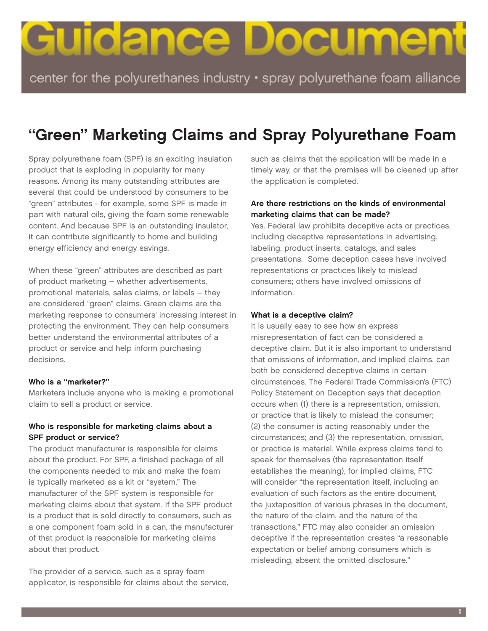# Guidance Docume

center for the polyurethanes industry • spray polyurethane foam alliance

## **"Green" Marketing Claims and Spray Polyurethane Foam**

Spray polyurethane foam (SPF) is an exciting insulation product that is exploding in popularity for many reasons. Among its many outstanding attributes are several that could be understood by consumers to be "green" attributes - for example, some SPF is made in part with natural oils, giving the foam some renewable content. And because SPF is an outstanding insulator, it can contribute significantly to home and building energy efficiency and energy savings.

When these "green" attributes are described as part of product marketing – whether advertisements, promotional materials, sales claims, or labels – they are considered "green" claims. Green claims are the marketing response to consumers' increasing interest in protecting the environment. They can help consumers better understand the environmental attributes of a product or service and help inform purchasing decisions.

#### **Who is a "marketer?"**

Marketers include anyone who is making a promotional claim to sell a product or service.

#### **Who is responsible for marketing claims about a SPF product or service?**

The product manufacturer is responsible for claims about the product. For SPF, a finished package of all the components needed to mix and make the foam is typically marketed as a kit or "system." The manufacturer of the SPF system is responsible for marketing claims about that system. If the SPF product is a product that is sold directly to consumers, such as a one component foam sold in a can, the manufacturer of that product is responsible for marketing claims about that product.

The provider of a service, such as a spray foam applicator, is responsible for claims about the service, such as claims that the application will be made in a timely way, or that the premises will be cleaned up after the application is completed.

#### **Are there restrictions on the kinds of environmental marketing claims that can be made?**

Yes. Federal law prohibits deceptive acts or practices, including deceptive representations in advertising, labeling, product inserts, catalogs, and sales presentations. Some deception cases have involved representations or practices likely to mislead consumers; others have involved omissions of information.

#### **What is a deceptive claim?**

It is usually easy to see how an express misrepresentation of fact can be considered a deceptive claim. But it is also important to understand that omissions of information, and implied claims, can both be considered deceptive claims in certain circumstances. The Federal Trade Commission's (FTC) Policy Statement on Deception says that deception occurs when (1) there is a representation, omission, or practice that is likely to mislead the consumer; (2) the consumer is acting reasonably under the circumstances; and (3) the representation, omission, or practice is material. While express claims tend to speak for themselves (the representation itself establishes the meaning), for implied claims, FTC will consider "the representation itself, including an evaluation of such factors as the entire document, the juxtaposition of various phrases in the document, the nature of the claim, and the nature of the transactions." FTC may also consider an omission deceptive if the representation creates "a reasonable expectation or belief among consumers which is misleading, absent the omitted disclosure."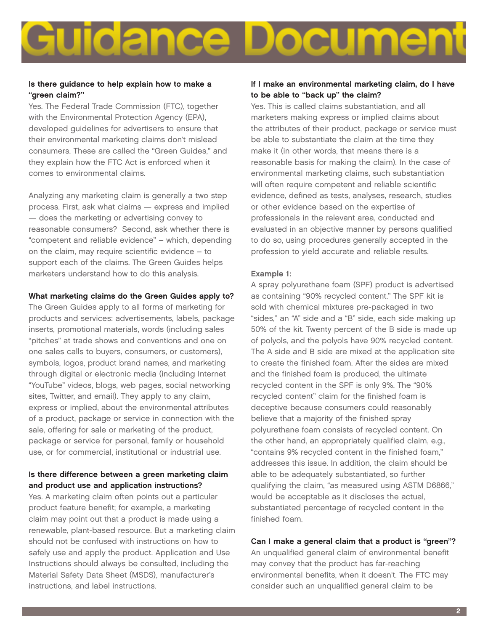### **IOEI CI** ∽

#### **Is there guidance to help explain how to make a "green claim?"**

Yes. The Federal Trade Commission (FTC), together with the Environmental Protection Agency (EPA), developed guidelines for advertisers to ensure that their environmental marketing claims don't mislead consumers. These are called the "Green Guides," and they explain how the FTC Act is enforced when it comes to environmental claims.

Analyzing any marketing claim is generally a two step process. First, ask what claims — express and implied — does the marketing or advertising convey to reasonable consumers? Second, ask whether there is "competent and reliable evidence" – which, depending on the claim, may require scientific evidence – to support each of the claims. The Green Guides helps marketers understand how to do this analysis.

#### **What marketing claims do the Green Guides apply to?**

The Green Guides apply to all forms of marketing for products and services: advertisements, labels, package inserts, promotional materials, words (including sales "pitches" at trade shows and conventions and one on one sales calls to buyers, consumers, or customers), symbols, logos, product brand names, and marketing through digital or electronic media (including Internet "YouTube" videos, blogs, web pages, social networking sites, Twitter, and email). They apply to any claim, express or implied, about the environmental attributes of a product, package or service in connection with the sale, offering for sale or marketing of the product, package or service for personal, family or household use, or for commercial, institutional or industrial use.

#### **Is there difference between a green marketing claim and product use and application instructions?**

Yes. A marketing claim often points out a particular product feature benefit; for example, a marketing claim may point out that a product is made using a renewable, plant-based resource. But a marketing claim should not be confused with instructions on how to safely use and apply the product. Application and Use Instructions should always be consulted, including the Material Safety Data Sheet (MSDS), manufacturer's instructions, and label instructions.

#### **If I make an environmental marketing claim, do I have to be able to "back up" the claim?**

Yes. This is called claims substantiation, and all marketers making express or implied claims about the attributes of their product, package or service must be able to substantiate the claim at the time they make it (in other words, that means there is a reasonable basis for making the claim). In the case of environmental marketing claims, such substantiation will often require competent and reliable scientific evidence, defined as tests, analyses, research, studies or other evidence based on the expertise of professionals in the relevant area, conducted and evaluated in an objective manner by persons qualified to do so, using procedures generally accepted in the profession to yield accurate and reliable results.

#### **Example 1:**

A spray polyurethane foam (SPF) product is advertised as containing "90% recycled content." The SPF kit is sold with chemical mixtures pre-packaged in two "sides," an "A" side and a "B" side, each side making up 50% of the kit. Twenty percent of the B side is made up of polyols, and the polyols have 90% recycled content. The A side and B side are mixed at the application site to create the finished foam. After the sides are mixed and the finished foam is produced, the ultimate recycled content in the SPF is only 9%. The "90% recycled content" claim for the finished foam is deceptive because consumers could reasonably believe that a majority of the finished spray polyurethane foam consists of recycled content. On the other hand, an appropriately qualified claim, e.g., "contains 9% recycled content in the finished foam," addresses this issue. In addition, the claim should be able to be adequately substantiated, so further qualifying the claim, "as measured using ASTM D6866," would be acceptable as it discloses the actual, substantiated percentage of recycled content in the finished foam.

#### **Can I make a general claim that a product is "green"?**

An unqualified general claim of environmental benefit may convey that the product has far-reaching environmental benefits, when it doesn't. The FTC may consider such an unqualified general claim to be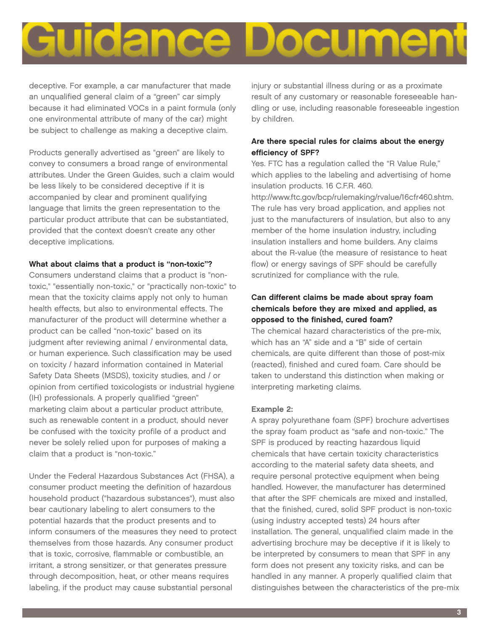

deceptive. For example, a car manufacturer that made an unqualified general claim of a "green" car simply because it had eliminated VOCs in a paint formula (only one environmental attribute of many of the car) might be subject to challenge as making a deceptive claim.

Products generally advertised as "green" are likely to convey to consumers a broad range of environmental attributes. Under the Green Guides, such a claim would be less likely to be considered deceptive if it is accompanied by clear and prominent qualifying language that limits the green representation to the particular product attribute that can be substantiated, provided that the context doesn't create any other deceptive implications.

#### **What about claims that a product is "non-toxic"?**

Consumers understand claims that a product is "nontoxic," "essentially non-toxic," or "practically non-toxic" to mean that the toxicity claims apply not only to human health effects, but also to environmental effects. The manufacturer of the product will determine whether a product can be called "non-toxic" based on its judgment after reviewing animal / environmental data, or human experience. Such classification may be used on toxicity / hazard information contained in Material Safety Data Sheets (MSDS), toxicity studies, and / or opinion from certified toxicologists or industrial hygiene (IH) professionals. A properly qualified "green" marketing claim about a particular product attribute, such as renewable content in a product, should never be confused with the toxicity profile of a product and never be solely relied upon for purposes of making a claim that a product is "non-toxic."

Under the Federal Hazardous Substances Act (FHSA), a consumer product meeting the definition of hazardous household product ("hazardous substances"), must also bear cautionary labeling to alert consumers to the potential hazards that the product presents and to inform consumers of the measures they need to protect themselves from those hazards. Any consumer product that is toxic, corrosive, flammable or combustible, an irritant, a strong sensitizer, or that generates pressure through decomposition, heat, or other means requires labeling, if the product may cause substantial personal

injury or substantial illness during or as a proximate result of any customary or reasonable foreseeable handling or use, including reasonable foreseeable ingestion by children.

#### **Are there special rules for claims about the energy efficiency of SPF?**

Yes. FTC has a regulation called the "R Value Rule," which applies to the labeling and advertising of home insulation products. 16 C.F.R. 460.

http://www.ftc.gov/bcp/rulemaking/rvalue/16cfr460.shtm. The rule has very broad application, and applies not just to the manufacturers of insulation, but also to any member of the home insulation industry, including insulation installers and home builders. Any claims about the R-value (the measure of resistance to heat flow) or energy savings of SPF should be carefully scrutinized for compliance with the rule.

#### **Can different claims be made about spray foam chemicals before they are mixed and applied, as opposed to the finished, cured foam?**

The chemical hazard characteristics of the pre-mix, which has an "A" side and a "B" side of certain chemicals, are quite different than those of post-mix (reacted), finished and cured foam. Care should be taken to understand this distinction when making or interpreting marketing claims.

#### **Example 2:**

A spray polyurethane foam (SPF) brochure advertises the spray foam product as "safe and non-toxic." The SPF is produced by reacting hazardous liquid chemicals that have certain toxicity characteristics according to the material safety data sheets, and require personal protective equipment when being handled. However, the manufacturer has determined that after the SPF chemicals are mixed and installed, that the finished, cured, solid SPF product is non-toxic (using industry accepted tests) 24 hours after installation. The general, unqualified claim made in the advertising brochure may be deceptive if it is likely to be interpreted by consumers to mean that SPF in any form does not present any toxicity risks, and can be handled in any manner. A properly qualified claim that distinguishes between the characteristics of the pre-mix